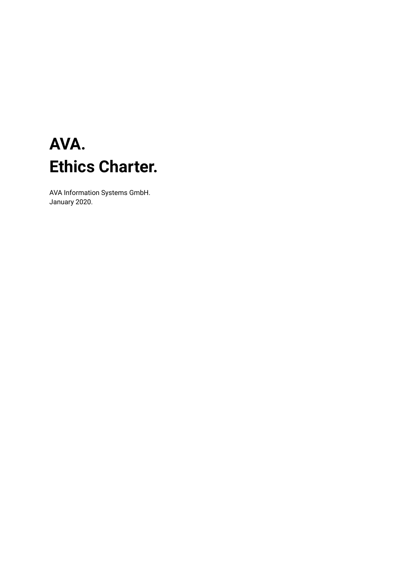### **AVA. Ethics Charter.**

AVA Information Systems GmbH. January 2020.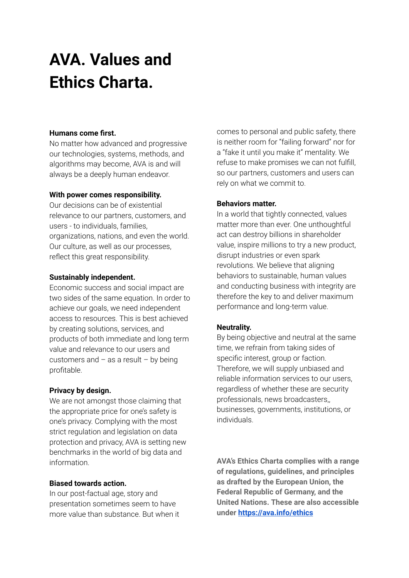## **AVA. Values and Ethics Charta.**

### **Humans come first.**

No matter how advanced and progressive our technologies, systems, methods, and algorithms may become, AVA is and will always be a deeply human endeavor.

#### **With power comes responsibility.**

Our decisions can be of existential relevance to our partners, customers, and users - to individuals, families, organizations, nations, and even the world. Our culture, as well as our processes, reflect this great responsibility.

### **Sustainably independent.**

Economic success and social impact are two sides of the same equation. In order to achieve our goals, we need independent access to resources. This is best achieved by creating solutions, services, and products of both immediate and long term value and relevance to our users and customers and  $-$  as a result  $-$  by being profitable.

### **Privacy by design.**

We are not amongst those claiming that the appropriate price for one's safety is one's privacy. Complying with the most strict regulation and legislation on data protection and privacy, AVA is setting new benchmarks in the world of big data and information.

### **Biased towards action.**

In our post-factual age, story and presentation sometimes seem to have more value than substance. But when it comes to personal and public safety, there is neither room for "failing forward" nor for a "fake it until you make it" mentality. We refuse to make promises we can not fulfill, so our partners, customers and users can rely on what we commit to.

### **Behaviors matter.**

In a world that tightly connected, values matter more than ever. One unthoughtful act can destroy billions in shareholder value, inspire millions to try a new product, disrupt industries or even spark revolutions. We believe that aligning behaviors to sustainable, human values and conducting business with integrity are therefore the key to and deliver maximum performance and long-term value.

### **Neutrality.**

By being objective and neutral at the same time, we refrain from taking sides of specific interest, group or faction. Therefore, we will supply unbiased and reliable information services to our users, regardless of whether these are security professionals, news broadcasters,, businesses, governments, institutions, or individuals.

**AVA's Ethics Charta complies with a range of regulations, guidelines, and principles as drafted by the European Union, the Federal Republic of Germany, and the United Nations. These are also accessible under <https://ava.info/ethics>**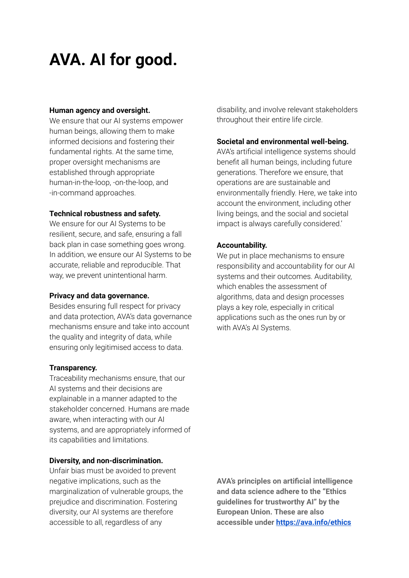### **AVA. AI for good.**

#### **Human agency and oversight.**

We ensure that our AI systems empower human beings, allowing them to make informed decisions and fostering their fundamental rights. At the same time, proper oversight mechanisms are established through appropriate human-in-the-loop, -on-the-loop, and -in-command approaches.

### **Technical robustness and safety.**

We ensure for our AI Systems to be resilient, secure, and safe, ensuring a fall back plan in case something goes wrong. In addition, we ensure our AI Systems to be accurate, reliable and reproducible. That way, we prevent unintentional harm.

### **Privacy and data governance.**

Besides ensuring full respect for privacy and data protection, AVA's data governance mechanisms ensure and take into account the quality and integrity of data, while ensuring only legitimised access to data.

### **Transparency.**

Traceability mechanisms ensure, that our AI systems and their decisions are explainable in a manner adapted to the stakeholder concerned. Humans are made aware, when interacting with our AI systems, and are appropriately informed of its capabilities and limitations.

### **Diversity, and non-discrimination.**

Unfair bias must be avoided to prevent negative implications, such as the marginalization of vulnerable groups, the prejudice and discrimination. Fostering diversity, our AI systems are therefore accessible to all, regardless of any

disability, and involve relevant stakeholders throughout their entire life circle.

### **Societal and environmental well-being.**

AVA's artificial intelligence systems should benefit all human beings, including future generations. Therefore we ensure, that operations are are sustainable and environmentally friendly. Here, we take into account the environment, including other living beings, and the social and societal impact is always carefully considered.'

### **Accountability.**

We put in place mechanisms to ensure responsibility and accountability for our AI systems and their outcomes. Auditability, which enables the assessment of algorithms, data and design processes plays a key role, especially in critical applications such as the ones run by or with AVA's AI Systems.

**AVA's principles on artificial intelligence and data science adhere to the "Ethics guidelines for trustworthy AI" by the European Union. These are also accessible under <https://ava.info/ethics>**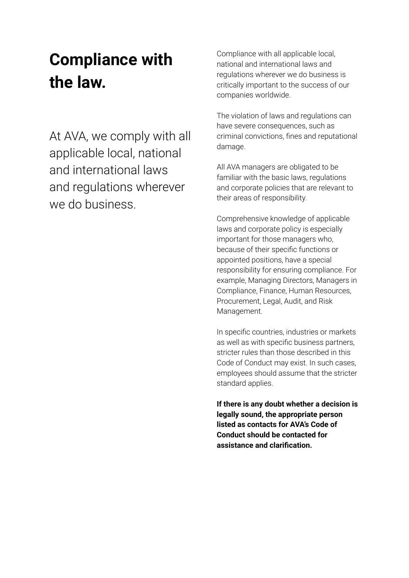## **Compliance with the law.**

At AVA, we comply with all applicable local, national and international laws and regulations wherever we do business.

Compliance with all applicable local, national and international laws and regulations wherever we do business is critically important to the success of our companies worldwide.

The violation of laws and regulations can have severe consequences, such as criminal convictions, fines and reputational damage.

All AVA managers are obligated to be familiar with the basic laws, regulations and corporate policies that are relevant to their areas of responsibility.

Comprehensive knowledge of applicable laws and corporate policy is especially important for those managers who, because of their specific functions or appointed positions, have a special responsibility for ensuring compliance. For example, Managing Directors, Managers in Compliance, Finance, Human Resources, Procurement, Legal, Audit, and Risk Management.

In specific countries, industries or markets as well as with specific business partners, stricter rules than those described in this Code of Conduct may exist. In such cases, employees should assume that the stricter standard applies.

**If there is any doubt whether a decision is legally sound, the appropriate person listed as contacts for AVA's Code of Conduct should be contacted for assistance and clarification.**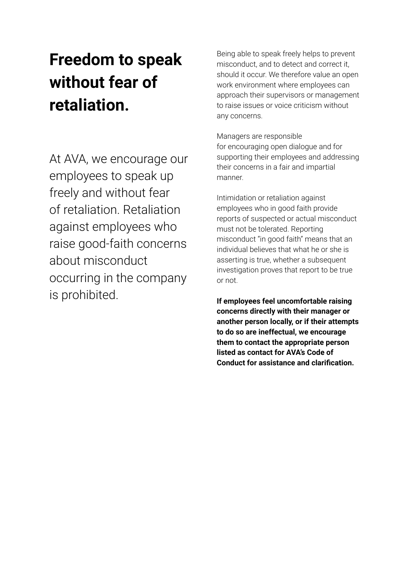# **Freedom to speak without fear of retaliation.**

At AVA, we encourage our employees to speak up freely and without fear of retaliation. Retaliation against employees who raise good-faith concerns about misconduct occurring in the company is prohibited.

Being able to speak freely helps to prevent misconduct, and to detect and correct it, should it occur. We therefore value an open work environment where employees can approach their supervisors or management to raise issues or voice criticism without any concerns.

Managers are responsible for encouraging open dialogue and for supporting their employees and addressing their concerns in a fair and impartial manner.

Intimidation or retaliation against employees who in good faith provide reports of suspected or actual misconduct must not be tolerated. Reporting misconduct "in good faith" means that an individual believes that what he or she is asserting is true, whether a subsequent investigation proves that report to be true or not.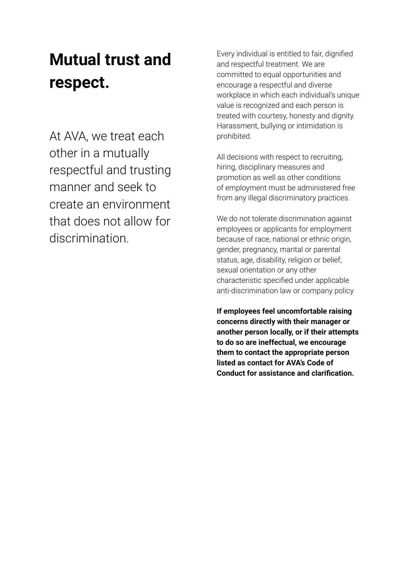## **Mutual trust and respect.**

At AVA, we treat each other in a mutually respectful and trusting manner and seek to create an environment that does not allow for discrimination.

Every individual is entitled to fair, dignified and respectful treatment. We are committed to equal opportunities and encourage a respectful and diverse workplace in which each individual's unique value is recognized and each person is treated with courtesy, honesty and dignity. Harassment, bullying or intimidation is prohibited.

All decisions with respect to recruiting, hiring, disciplinary measures and promotion as well as other conditions of employment must be administered free from any illegal discriminatory practices.

We do not tolerate discrimination against employees or applicants for employment because of race, national or ethnic origin, gender, pregnancy, marital or parental status, age, disability, religion or belief, sexual orientation or any other characteristic specified under applicable anti-discrimination law or company policy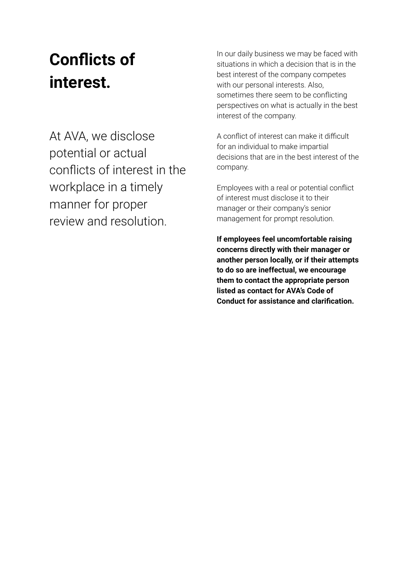# **Conflicts of interest.**

At AVA, we disclose potential or actual conflicts of interest in the workplace in a timely manner for proper review and resolution.

In our daily business we may be faced with situations in which a decision that is in the best interest of the company competes with our personal interests. Also, sometimes there seem to be conflicting perspectives on what is actually in the best interest of the company.

A conflict of interest can make it difficult for an individual to make impartial decisions that are in the best interest of the company.

Employees with a real or potential conflict of interest must disclose it to their manager or their company's senior management for prompt resolution.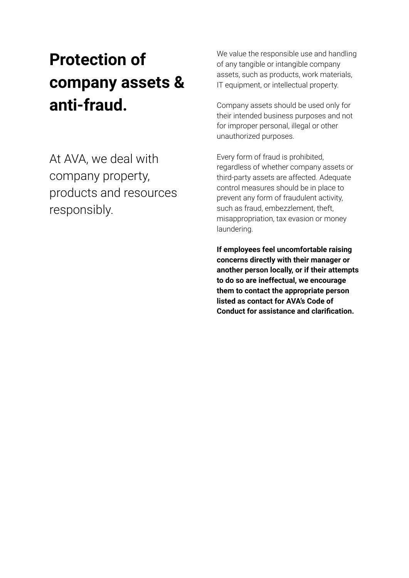# **Protection of company assets & anti-fraud.**

At AVA, we deal with company property, products and resources responsibly.

We value the responsible use and handling of any tangible or intangible company assets, such as products, work materials, IT equipment, or intellectual property.

Company assets should be used only for their intended business purposes and not for improper personal, illegal or other unauthorized purposes.

Every form of fraud is prohibited, regardless of whether company assets or third-party assets are affected. Adequate control measures should be in place to prevent any form of fraudulent activity, such as fraud, embezzlement, theft, misappropriation, tax evasion or money laundering.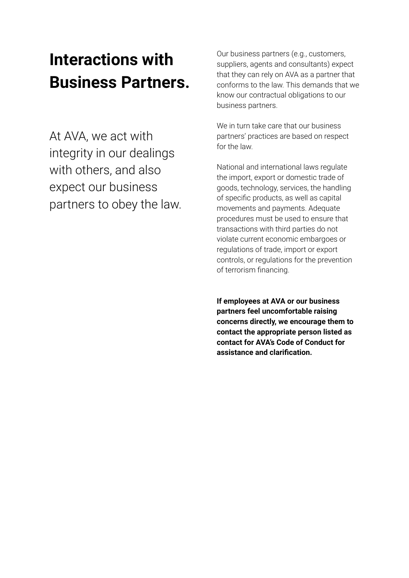### **Interactions with Business Partners.**

At AVA, we act with integrity in our dealings with others, and also expect our business partners to obey the law. Our business partners (e.g., customers, suppliers, agents and consultants) expect that they can rely on AVA as a partner that conforms to the law. This demands that we know our contractual obligations to our business partners.

We in turn take care that our business partners' practices are based on respect for the law.

National and international laws regulate the import, export or domestic trade of goods, technology, services, the handling of specific products, as well as capital movements and payments. Adequate procedures must be used to ensure that transactions with third parties do not violate current economic embargoes or regulations of trade, import or export controls, or regulations for the prevention of terrorism financing.

**If employees at AVA or our business partners feel uncomfortable raising concerns directly, we encourage them to contact the appropriate person listed as contact for AVA's Code of Conduct for assistance and clarification.**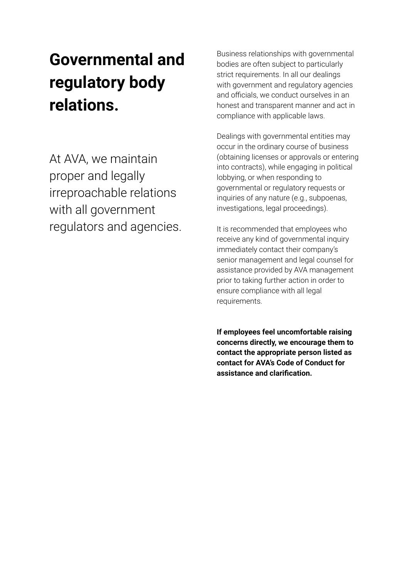# **Governmental and regulatory body relations.**

At AVA, we maintain proper and legally irreproachable relations with all government regulators and agencies. Business relationships with governmental bodies are often subject to particularly strict requirements. In all our dealings with government and regulatory agencies and officials, we conduct ourselves in an honest and transparent manner and act in compliance with applicable laws.

Dealings with governmental entities may occur in the ordinary course of business (obtaining licenses or approvals or entering into contracts), while engaging in political lobbying, or when responding to governmental or regulatory requests or inquiries of any nature (e.g., subpoenas, investigations, legal proceedings).

It is recommended that employees who receive any kind of governmental inquiry immediately contact their company's senior management and legal counsel for assistance provided by AVA management prior to taking further action in order to ensure compliance with all legal requirements.

**If employees feel uncomfortable raising concerns directly, we encourage them to contact the appropriate person listed as contact for AVA's Code of Conduct for assistance and clarification.**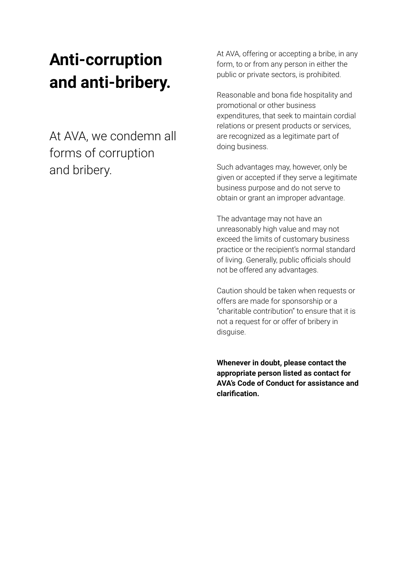## **Anti-corruption and anti-bribery.**

At AVA, we condemn all forms of corruption and bribery.

At AVA, offering or accepting a bribe, in any form, to or from any person in either the public or private sectors, is prohibited.

Reasonable and bona fide hospitality and promotional or other business expenditures, that seek to maintain cordial relations or present products or services, are recognized as a legitimate part of doing business.

Such advantages may, however, only be given or accepted if they serve a legitimate business purpose and do not serve to obtain or grant an improper advantage.

The advantage may not have an unreasonably high value and may not exceed the limits of customary business practice or the recipient's normal standard of living. Generally, public officials should not be offered any advantages.

Caution should be taken when requests or offers are made for sponsorship or a "charitable contribution" to ensure that it is not a request for or offer of bribery in disguise.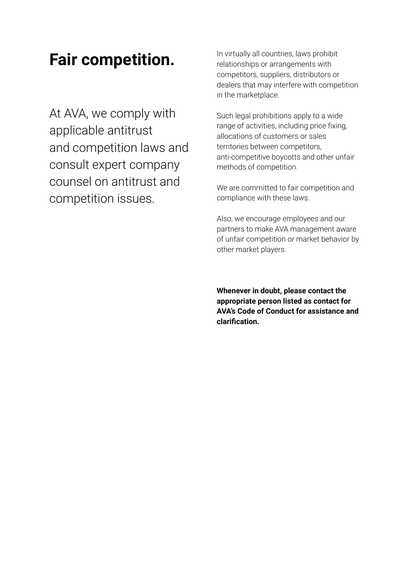### **Fair competition.**

At AVA, we comply with applicable antitrust and competition laws and consult expert company counsel on antitrust and competition issues.

In virtually all countries, laws prohibit relationships or arrangements with competitors, suppliers, distributors or dealers that may interfere with competition in the marketplace.

Such legal prohibitions apply to a wide range of activities, including price fixing, allocations of customers or sales territories between competitors, anti-competitive boycotts and other unfair methods of competition.

We are committed to fair competition and compliance with these laws.

Also, we encourage employees and our partners to make AVA management aware of unfair competition or market behavior by other market players.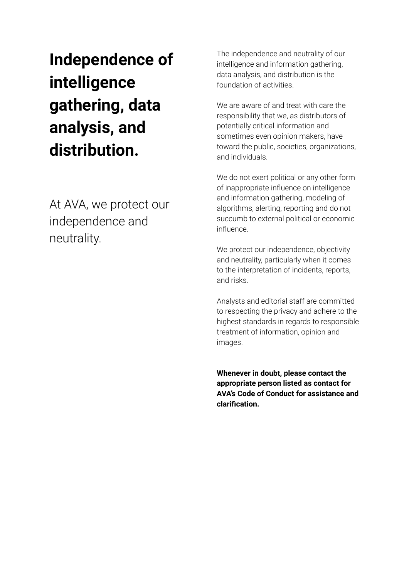# **Independence of intelligence gathering, data analysis, and distribution.**

At AVA, we protect our independence and neutrality.

The independence and neutrality of our intelligence and information gathering, data analysis, and distribution is the foundation of activities.

We are aware of and treat with care the responsibility that we, as distributors of potentially critical information and sometimes even opinion makers, have toward the public, societies, organizations, and individuals.

We do not exert political or any other form of inappropriate influence on intelligence and information gathering, modeling of algorithms, alerting, reporting and do not succumb to external political or economic influence.

We protect our independence, objectivity and neutrality, particularly when it comes to the interpretation of incidents, reports, and risks.

Analysts and editorial staff are committed to respecting the privacy and adhere to the highest standards in regards to responsible treatment of information, opinion and images.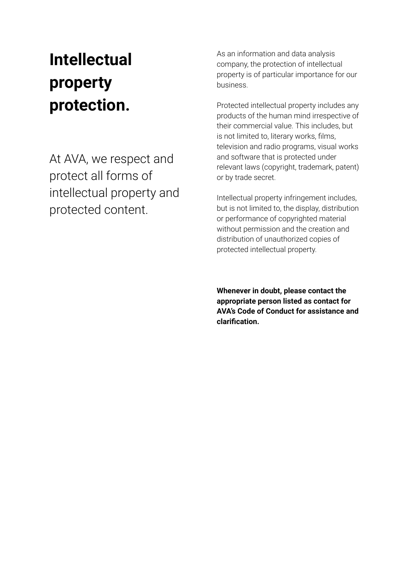# **Intellectual property protection.**

At AVA, we respect and protect all forms of intellectual property and protected content.

As an information and data analysis company, the protection of intellectual property is of particular importance for our business.

Protected intellectual property includes any products of the human mind irrespective of their commercial value. This includes, but is not limited to, literary works, films, television and radio programs, visual works and software that is protected under relevant laws (copyright, trademark, patent) or by trade secret.

Intellectual property infringement includes, but is not limited to, the display, distribution or performance of copyrighted material without permission and the creation and distribution of unauthorized copies of protected intellectual property.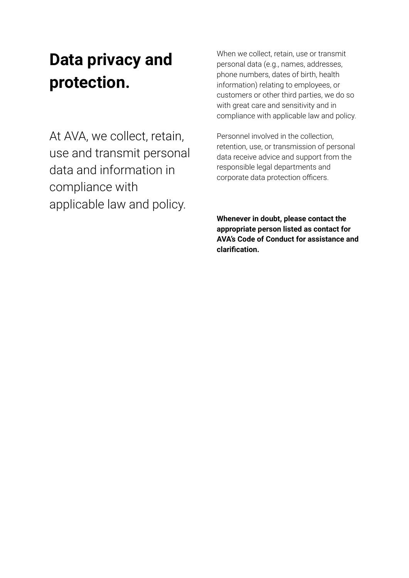## **Data privacy and protection.**

At AVA, we collect, retain, use and transmit personal data and information in compliance with applicable law and policy.

When we collect, retain, use or transmit personal data (e.g., names, addresses, phone numbers, dates of birth, health information) relating to employees, or customers or other third parties, we do so with great care and sensitivity and in compliance with applicable law and policy.

Personnel involved in the collection, retention, use, or transmission of personal data receive advice and support from the responsible legal departments and corporate data protection officers.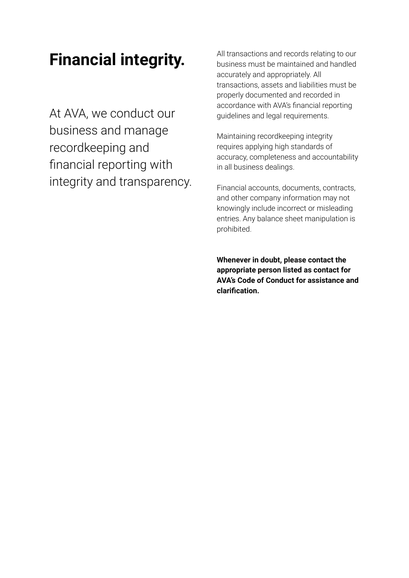### **Financial integrity.**

At AVA, we conduct our business and manage recordkeeping and financial reporting with integrity and transparency. All transactions and records relating to our business must be maintained and handled accurately and appropriately. All transactions, assets and liabilities must be properly documented and recorded in accordance with AVA's financial reporting guidelines and legal requirements.

Maintaining recordkeeping integrity requires applying high standards of accuracy, completeness and accountability in all business dealings.

Financial accounts, documents, contracts, and other company information may not knowingly include incorrect or misleading entries. Any balance sheet manipulation is prohibited.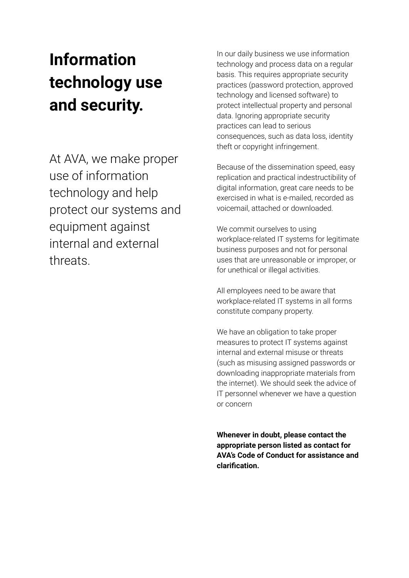# **Information technology use and security.**

At AVA, we make proper use of information technology and help protect our systems and equipment against internal and external threats.

In our daily business we use information technology and process data on a regular basis. This requires appropriate security practices (password protection, approved technology and licensed software) to protect intellectual property and personal data. Ignoring appropriate security practices can lead to serious consequences, such as data loss, identity theft or copyright infringement.

Because of the dissemination speed, easy replication and practical indestructibility of digital information, great care needs to be exercised in what is e-mailed, recorded as voicemail, attached or downloaded.

We commit ourselves to using workplace-related IT systems for legitimate business purposes and not for personal uses that are unreasonable or improper, or for unethical or illegal activities.

All employees need to be aware that workplace-related IT systems in all forms constitute company property.

We have an obligation to take proper measures to protect IT systems against internal and external misuse or threats (such as misusing assigned passwords or downloading inappropriate materials from the internet). We should seek the advice of IT personnel whenever we have a question or concern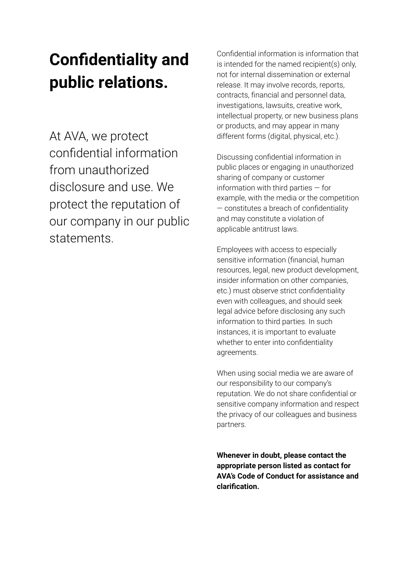## **Confidentiality and public relations.**

At AVA, we protect confidential information from unauthorized disclosure and use. We protect the reputation of our company in our public statements.

Confidential information is information that is intended for the named recipient(s) only, not for internal dissemination or external release. It may involve records, reports, contracts, financial and personnel data, investigations, lawsuits, creative work, intellectual property, or new business plans or products, and may appear in many different forms (digital, physical, etc.).

Discussing confidential information in public places or engaging in unauthorized sharing of company or customer information with third parties — for example, with the media or the competition — constitutes a breach of confidentiality and may constitute a violation of applicable antitrust laws.

Employees with access to especially sensitive information (financial, human resources, legal, new product development, insider information on other companies, etc.) must observe strict confidentiality even with colleagues, and should seek legal advice before disclosing any such information to third parties. In such instances, it is important to evaluate whether to enter into confidentiality agreements.

When using social media we are aware of our responsibility to our company's reputation. We do not share confidential or sensitive company information and respect the privacy of our colleagues and business partners.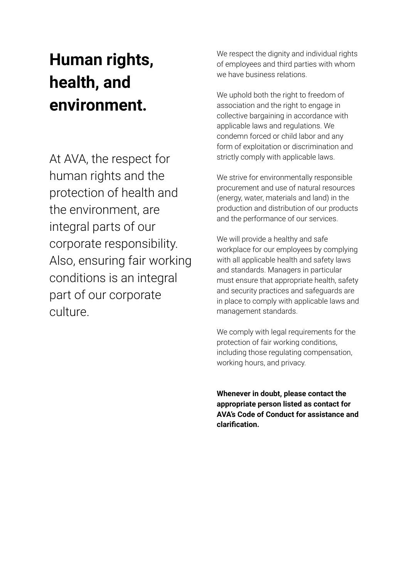# **Human rights, health, and environment.**

At AVA, the respect for human rights and the protection of health and the environment, are integral parts of our corporate responsibility. Also, ensuring fair working conditions is an integral part of our corporate culture.

We respect the dignity and individual rights of employees and third parties with whom we have business relations.

We uphold both the right to freedom of association and the right to engage in collective bargaining in accordance with applicable laws and regulations. We condemn forced or child labor and any form of exploitation or discrimination and strictly comply with applicable laws.

We strive for environmentally responsible procurement and use of natural resources (energy, water, materials and land) in the production and distribution of our products and the performance of our services.

We will provide a healthy and safe workplace for our employees by complying with all applicable health and safety laws and standards. Managers in particular must ensure that appropriate health, safety and security practices and safeguards are in place to comply with applicable laws and management standards.

We comply with legal requirements for the protection of fair working conditions, including those regulating compensation, working hours, and privacy.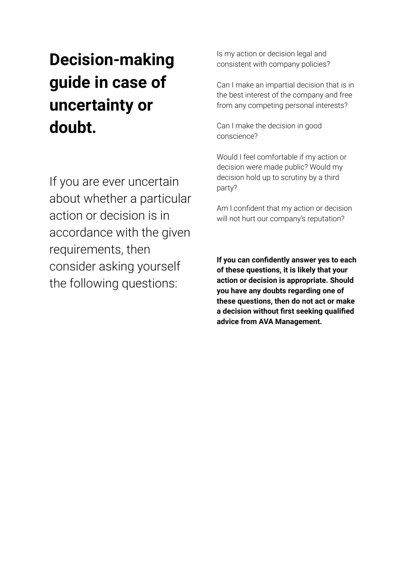# **Decision-making guide in case of uncertainty or doubt.**

If you are ever uncertain about whether a particular action or decision is in accordance with the given requirements, then consider asking yourself the following questions:

Is my action or decision legal and consistent with company policies?

Can I make an impartial decision that is in the best interest of the company and free from any competing personal interests?

Can I make the decision in good conscience?

Would I feel comfortable if my action or decision were made public? Would my decision hold up to scrutiny by a third party?

Am I confident that my action or decision will not hurt our company's reputation?

**If you can confidently answer yes to each of these questions, it is likely that your action or decision is appropriate. Should you have any doubts regarding one of these questions, then do not act or make a decision without first seeking qualified advice from AVA Management.**